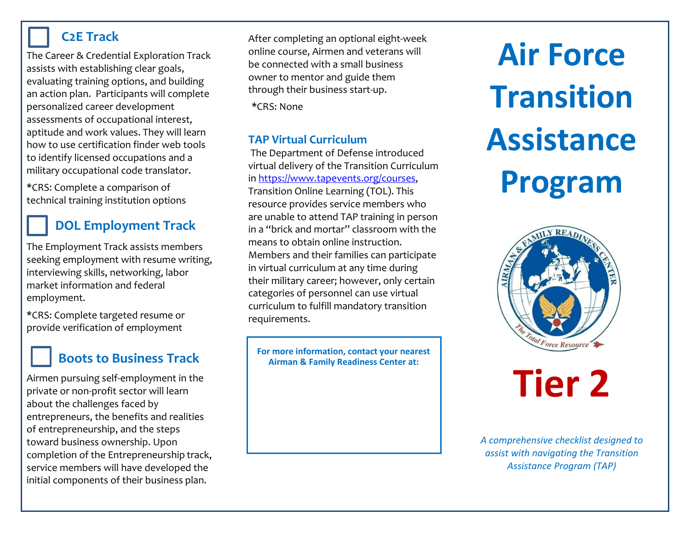### **C2E Track**

The Career & Credential Exploration Track assists with establishing clear goals, evaluating training options, and building an action plan. Participants will complete personalized career development assessments of occupational interest, aptitude and work values. They will learn how to use certification finder web tools to identify licensed occupations and a military occupational code translator.

**\***CRS: Complete a comparison of technical training institution options

## **DOL Employment Track**

The Employment Track assists members seeking employment with resume writing, interviewing skills, networking, labor market information and federal employment.

**\***CRS: Complete targeted resume or provide verification of employment

# **Boots to Business Track**

Airmen pursuing self-employment in the private or non-profit sector will learn about the challenges faced by entrepreneurs, the benefits and realities of entrepreneurship, and the steps toward business ownership. Upon completion of the Entrepreneurship track, service members will have developed the initial components of their business plan.

After completing an optional eight-week online course, Airmen and veterans will be connected with a small business owner to mentor and guide them through their business start-up.

**\***CRS: None

#### **TAP Virtual Curriculum**

The Department of Defense introduced virtual delivery of the Transition Curriculum i[n https://www.tapevents.org/courses,](https://www.tapevents.org/courses) Transition Online Learning (TOL). This resource provides service members who are unable to attend TAP training in person in a "brick and mortar" classroom with the means to obtain online instruction. Members and their families can participate in virtual curriculum at any time during their military career; however, only certain categories of personnel can use virtual curriculum to fulfill mandatory transition requirements.

**For more information, contact your nearest Airman & Family Readiness Center at:**

# **Air Force Transition Assistance Program**



# **Tier 2**

*A comprehensive checklist designed to assist with navigating the Transition Assistance Program (TAP)*